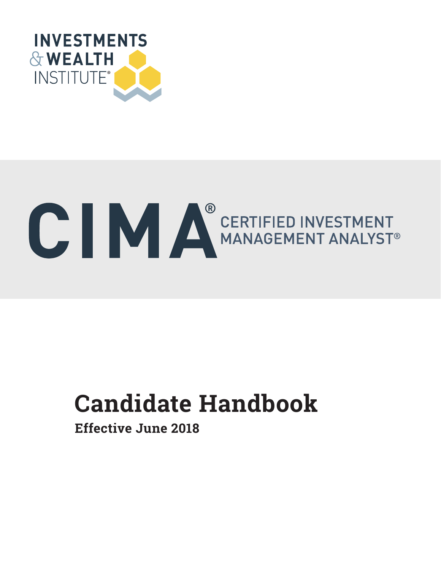

# **ONE AND A DERTIFIED INVESTMENT MANAGEMENT ANALYST®**

# **Candidate Handbook Candidate Handbook**

**Effective June 2018**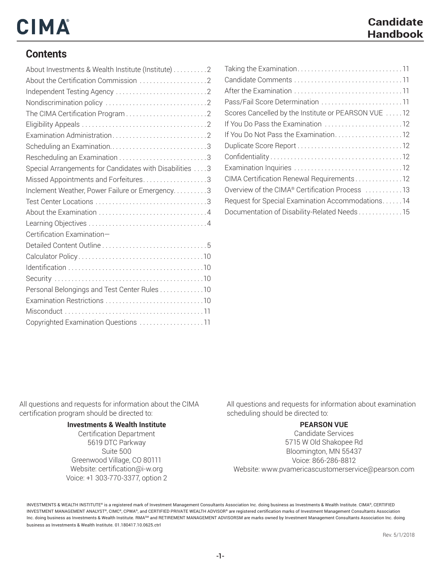# CIMA

#### **Contents**

| About Investments & Wealth Institute (Institute) 2      |  |
|---------------------------------------------------------|--|
|                                                         |  |
|                                                         |  |
|                                                         |  |
|                                                         |  |
|                                                         |  |
|                                                         |  |
|                                                         |  |
| Rescheduling an Examination 3                           |  |
| Special Arrangements for Candidates with Disabilities 3 |  |
| Missed Appointments and Forfeitures3                    |  |
| Inclement Weather, Power Failure or Emergency3          |  |
|                                                         |  |
|                                                         |  |
|                                                         |  |
| Certification Examination-                              |  |
|                                                         |  |
|                                                         |  |
|                                                         |  |
|                                                         |  |
| Personal Belongings and Test Center Rules 10            |  |
|                                                         |  |
|                                                         |  |
| Copyrighted Examination Questions 11                    |  |

Taking the Examination . 11 Candidate Comments . 11 After the Examination . 11 Pass/Fail Score Determination . 11 Scores Cancelled by the Institute or PEARSON VUE .....12 If You Do Pass the Examination .............................12 If You Do Not Pass the Examination.........................12 Duplicate Score Report . 12 Confidentiality . 12 Examination Inquiries . 12 CIMA Certification Renewal Requirements . . . . . . . . . . . . 12 Overview of the CIMA® Certification Process ...........13 Request for Special Examination Accommodations . . . . . . 14 Documentation of Disability-Related Needs . . . . . . . . . . . . 15

All questions and requests for information about the CIMA certification program should be directed to:

#### **Investments & Wealth Institute**

Certification Department 5619 DTC Parkway Suite 500 Greenwood Village, CO 80111 Website: certification@i-w.org Voice: +1 303-770-3377, option 2 All questions and requests for information about examination scheduling should be directed to:

#### **PEARSON VUE**

Candidate Services 5715 W Old Shakopee Rd Bloomington, MN 55437 Voice: 866-286-8812 Website: www.pvamericascustomerservice@pearson.com

INVESTMENTS & WEALTH INSTITUTE® is a registered mark of Investment Management Consultants Association Inc. doing business as Investments & Wealth Institute. CIMA®, CERTIFIED INVESTMENT MANAGEMENT ANALYST®, CIMC®, CPWA®, and CERTIFIED PRIVATE WEALTH ADVISOR® are registered certification marks of Investment Management Consultants Association Inc. doing business as Investments & Wealth Institute. RMA<sup>sM</sup> and RETIREMENT MANAGEMENT ADVISORSM are marks owned by Investment Management Consultants Association Inc. doing business as Investments & Wealth Institute. 01.180417.10.0625.ctrl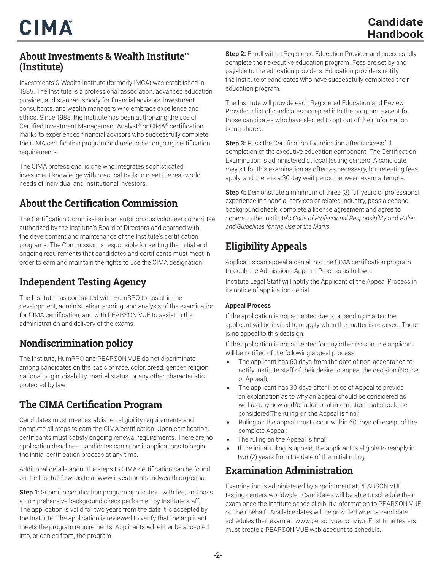#### **About Investments & Wealth Institute™ (Institute)**

Investments & Wealth Institute (formerly IMCA) was established in 1985. The Institute is a professional association, advanced education provider, and standards body for financial advisors, investment consultants, and wealth managers who embrace excellence and ethics. Since 1988, the Institute has been authorizing the use of Certified Investment Management Analyst® or CIMA® certification marks to experienced financial advisors who successfully complete the CIMA certification program and meet other ongoing certification requirements.

The CIMA professional is one who integrates sophisticated investment knowledge with practical tools to meet the real-world needs of individual and institutional investors.

#### **About the Certification Commission**

The Certification Commission is an autonomous volunteer committee authorized by the Institute's Board of Directors and charged with the development and maintenance of the Institute's certification programs. The Commission is responsible for setting the initial and ongoing requirements that candidates and certificants must meet in order to earn and maintain the rights to use the CIMA designation.

#### **Independent Testing Agency**

The Institute has contracted with HumRRO to assist in the development, administration, scoring, and analysis of the examination for CIMA certification, and with PEARSON VUE to assist in the administration and delivery of the exams.

#### **Nondiscrimination policy**

The Institute, HumRRO and PEARSON VUE do not discriminate among candidates on the basis of race, color, creed, gender, religion, national origin, disability, marital status, or any other characteristic protected by law.

#### **The CIMA Certification Program**

Candidates must meet established eligibility requirements and complete all steps to earn the CIMA certification. Upon certification, certificants must satisfy ongoing renewal requirements. There are no application deadlines; candidates can submit applications to begin the initial certification process at any time.

Additional details about the steps to CIMA certification can be found on the Institute's website at www.investmentsandwealth.org/cima.

**Step 1:** Submit a certification program application, with fee, and pass a comprehensive background check performed by Institute staff. The application is valid for two years from the date it is accepted by the Institute. The application is reviewed to verify that the applicant meets the program requirements. Applicants will either be accepted into, or denied from, the program.

**Step 2:** Enroll with a Registered Education Provider and successfully complete their executive education program. Fees are set by and payable to the education providers. Education providers notify the Institute of candidates who have successfully completed their education program.

The Institute will provide each Registered Education and Review Provider a list of candidates accepted into the program, except for those candidates who have elected to opt out of their information being shared.

**Step 3:** Pass the Certification Examination after successful completion of the executive education component. The Certification Examination is administered at local testing centers. A candidate may sit for this examination as often as necessary, but retesting fees apply, and there is a 30 day wait period between exam attempts.

**Step 4:** Demonstrate a minimum of three (3) full years of professional experience in financial services or related industry, pass a second background check, complete a license agreement and agree to adhere to the Institute's *Code of Professional Responsibility* and *Rules and Guidelines for the Use of the Marks.*

## **Eligibility Appeals**

Applicants can appeal a denial into the CIMA certification program through the Admissions Appeals Process as follows:

Institute Legal Staff will notify the Applicant of the Appeal Process in its notice of application denial.

#### **Appeal Process**

If the application is not accepted due to a pending matter, the applicant will be invited to reapply when the matter is resolved. There is no appeal to this decision.

If the application is not accepted for any other reason, the applicant will be notified of the following appeal process:

- *•* The applicant has 60 days from the date of non-acceptance to notify Institute staff of their desire to appeal the decision (Notice of Appeal);
- *•* The applicant has 30 days after Notice of Appeal to provide an explanation as to why an appeal should be considered as well as any new and/or additional information that should be considered;The ruling on the Appeal is final;
- *•* Ruling on the appeal must occur within 60 days of receipt of the complete Appeal;
- *•* The ruling on the Appeal is final;
- *•* If the initial ruling is upheld, the applicant is eligible to reapply in two (2) years from the date of the initial ruling.

#### **Examination Administration**

Examination is administered by appointment at PEARSON VUE testing centers worldwide. Candidates will be able to schedule their exam once the Institute sends eligibility information to PEARSON VUE on their behalf. Available dates will be provided when a candidate schedules their exam at www.personvue.com/iwi. First time testers must create a PEARSON VUE web account to schedule.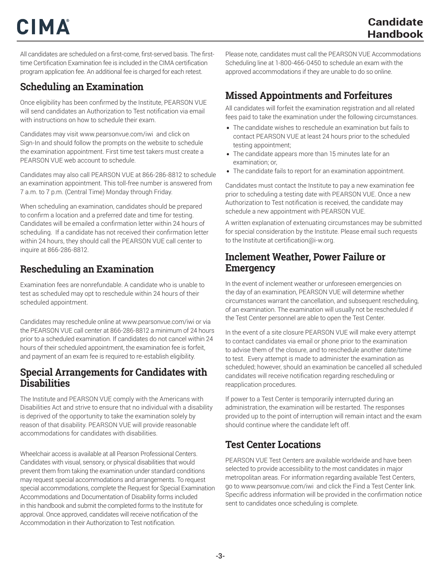# CIMA

All candidates are scheduled on a first-come, first-served basis. The firsttime Certification Examination fee is included in the CIMA certification program application fee. An additional fee is charged for each retest.

#### **Scheduling an Examination**

Once eligibility has been confirmed by the Institute, PEARSON VUE will send candidates an Authorization to Test notification via email with instructions on how to schedule their exam.

Candidates may visit www.pearsonvue.com/iwi and click on Sign-In and should follow the prompts on the website to schedule the examination appointment. First time test takers must create a PEARSON VUE web account to schedule.

Candidates may also call PEARSON VUE at 866-286-8812 to schedule an examination appointment. This toll-free number is answered from 7 a.m. to 7 p.m. (Central Time) Monday through Friday.

When scheduling an examination, candidates should be prepared to confirm a location and a preferred date and time for testing. Candidates will be emailed a confirmation letter within 24 hours of scheduling. If a candidate has not received their confirmation letter within 24 hours, they should call the PEARSON VUE call center to inquire at 866-286-8812.

#### **Rescheduling an Examination**

Examination fees are nonrefundable. A candidate who is unable to test as scheduled may opt to reschedule within 24 hours of their scheduled appointment.

Candidates may reschedule online at www.pearsonvue.com/iwi or via the PEARSON VUE call center at 866-286-8812 a minimum of 24 hours prior to a scheduled examination. If candidates do not cancel within 24 hours of their scheduled appointment, the examination fee is forfeit, and payment of an exam fee is required to re-establish eligibility.

#### **Special Arrangements for Candidates with Disabilities**

The Institute and PEARSON VUE comply with the Americans with Disabilities Act and strive to ensure that no individual with a disability is deprived of the opportunity to take the examination solely by reason of that disability. PEARSON VUE will provide reasonable accommodations for candidates with disabilities.

Wheelchair access is available at all Pearson Professional Centers. Candidates with visual, sensory, or physical disabilities that would prevent them from taking the examination under standard conditions may request special accommodations and arrangements. To request special accommodations, complete the Request for Special Examination Accommodations and Documentation of Disability forms included in this handbook and submit the completed forms to the Institute for approval. Once approved, candidates will receive notification of the Accommodation in their Authorization to Test notification.

Please note, candidates must call the PEARSON VUE Accommodations Scheduling line at 1-800-466-0450 to schedule an exam with the approved accommodations if they are unable to do so online.

#### **Missed Appointments and Forfeitures**

All candidates will forfeit the examination registration and all related fees paid to take the examination under the following circumstances.

- *•* The candidate wishes to reschedule an examination but fails to contact PEARSON VUE at least 24 hours prior to the scheduled testing appointment;
- *•* The candidate appears more than 15 minutes late for an examination; or,
- *•* The candidate fails to report for an examination appointment.

Candidates must contact the Institute to pay a new examination fee prior to scheduling a testing date with PEARSON VUE. Once a new Authorization to Test notification is received, the candidate may schedule a new appointment with PEARSON VUE.

A written explanation of extenuating circumstances may be submitted for special consideration by the Institute. Please email such requests to the Institute at certification@i-w.org.

#### **Inclement Weather, Power Failure or Emergency**

In the event of inclement weather or unforeseen emergencies on the day of an examination, PEARSON VUE will determine whether circumstances warrant the cancellation, and subsequent rescheduling, of an examination. The examination will usually not be rescheduled if the Test Center personnel are able to open the Test Center.

In the event of a site closure PEARSON VUE will make every attempt to contact candidates via email or phone prior to the examination to advise them of the closure, and to reschedule another date/time to test. Every attempt is made to administer the examination as scheduled; however, should an examination be cancelled all scheduled candidates will receive notification regarding rescheduling or reapplication procedures.

If power to a Test Center is temporarily interrupted during an administration, the examination will be restarted. The responses provided up to the point of interruption will remain intact and the exam should continue where the candidate left off.

#### **Test Center Locations**

PEARSON VUE Test Centers are available worldwide and have been selected to provide accessibility to the most candidates in major metropolitan areas. For information regarding available Test Centers, go to www.pearsonvue.com/iwi and click the Find a Test Center link. Specific address information will be provided in the confirmation notice sent to candidates once scheduling is complete.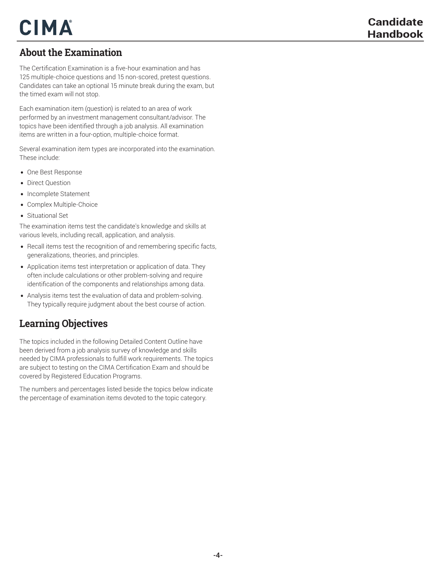#### **About the Examination**

The Certification Examination is a five-hour examination and has 125 multiple-choice questions and 15 non-scored, pretest questions. Candidates can take an optional 15 minute break during the exam, but the timed exam will not stop.

Each examination item (question) is related to an area of work performed by an investment management consultant/advisor. The topics have been identified through a job analysis. All examination items are written in a four-option, multiple-choice format.

Several examination item types are incorporated into the examination. These include:

- *•* One Best Response
- *•* Direct Question
- *•* Incomplete Statement
- *•* Complex Multiple-Choice
- *•* Situational Set

The examination items test the candidate's knowledge and skills at various levels, including recall, application, and analysis.

- *•* Recall items test the recognition of and remembering specific facts, generalizations, theories, and principles.
- *•* Application items test interpretation or application of data. They often include calculations or other problem-solving and require identification of the components and relationships among data.
- *•* Analysis items test the evaluation of data and problem-solving. They typically require judgment about the best course of action.

#### **Learning Objectives**

The topics included in the following Detailed Content Outline have been derived from a job analysis survey of knowledge and skills needed by CIMA professionals to fulfill work requirements. The topics are subject to testing on the CIMA Certification Exam and should be covered by Registered Education Programs.

The numbers and percentages listed beside the topics below indicate the percentage of examination items devoted to the topic category.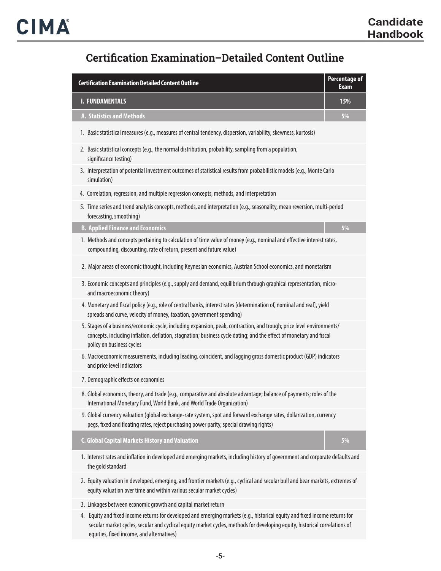## **Certification Examination–Detailed Content Outline**

| <b>Certification Examination Detailed Content Outline</b>                                                                                                                                                                                                                | <b>Percentage of</b><br><b>Exam</b> |
|--------------------------------------------------------------------------------------------------------------------------------------------------------------------------------------------------------------------------------------------------------------------------|-------------------------------------|
| <b>I. FUNDAMENTALS</b>                                                                                                                                                                                                                                                   | 15%                                 |
| A. Statistics and Methods                                                                                                                                                                                                                                                | 5%                                  |
| 1. Basic statistical measures (e.g., measures of central tendency, dispersion, variability, skewness, kurtosis)                                                                                                                                                          |                                     |
| 2. Basic statistical concepts (e.g., the normal distribution, probability, sampling from a population,<br>significance testing)                                                                                                                                          |                                     |
| 3. Interpretation of potential investment outcomes of statistical results from probabilistic models (e.g., Monte Carlo<br>simulation)                                                                                                                                    |                                     |
| 4. Correlation, regression, and multiple regression concepts, methods, and interpretation                                                                                                                                                                                |                                     |
| 5. Time series and trend analysis concepts, methods, and interpretation (e.g., seasonality, mean reversion, multi-period<br>forecasting, smoothing)                                                                                                                      |                                     |
| <b>B. Applied Finance and Economics</b>                                                                                                                                                                                                                                  | 5%                                  |
| 1. Methods and concepts pertaining to calculation of time value of money (e.g., nominal and effective interest rates,<br>compounding, discounting, rate of return, present and future value)                                                                             |                                     |
| 2. Major areas of economic thought, including Keynesian economics, Austrian School economics, and monetarism                                                                                                                                                             |                                     |
| 3. Economic concepts and principles (e.g., supply and demand, equilibrium through graphical representation, micro-<br>and macroeconomic theory)                                                                                                                          |                                     |
| 4. Monetary and fiscal policy (e.g., role of central banks, interest rates [determination of, nominal and real], yield<br>spreads and curve, velocity of money, taxation, government spending)                                                                           |                                     |
| 5. Stages of a business/economic cycle, including expansion, peak, contraction, and trough; price level environments/<br>concepts, including inflation, deflation, stagnation; business cycle dating; and the effect of monetary and fiscal<br>policy on business cycles |                                     |
| 6. Macroeconomic measurements, including leading, coincident, and lagging gross domestic product (GDP) indicators<br>and price level indicators                                                                                                                          |                                     |
| 7. Demographic effects on economies                                                                                                                                                                                                                                      |                                     |
| 8. Global economics, theory, and trade (e.g., comparative and absolute advantage; balance of payments; roles of the<br>International Monetary Fund, World Bank, and World Trade Organization)                                                                            |                                     |
| 9. Global currency valuation (global exchange-rate system, spot and forward exchange rates, dollarization, currency<br>pegs, fixed and floating rates, reject purchasing power parity, special drawing rights)                                                           |                                     |
| <b>C. Global Capital Markets History and Valuation</b>                                                                                                                                                                                                                   | 5%                                  |
| 1. Interest rates and inflation in developed and emerging markets, including history of government and corporate defaults and<br>the gold standard                                                                                                                       |                                     |
| 2. Equity valuation in developed, emerging, and frontier markets (e.g., cyclical and secular bull and bear markets, extremes of<br>equity valuation over time and within various secular market cycles)                                                                  |                                     |
| 3. Linkages between economic growth and capital market return                                                                                                                                                                                                            |                                     |
| Faulty and fixed income untyme for douglanged and emorging morfests (a.g., bistorical ogyity and fixed income returns fo                                                                                                                                                 |                                     |

4. Equity and fixed income returns for developed and emerging markets (e.g., historical equity and fixed income returns for secular market cycles, secular and cyclical equity market cycles, methods for developing equity, historical correlations of equities, fixed income, and alternatives)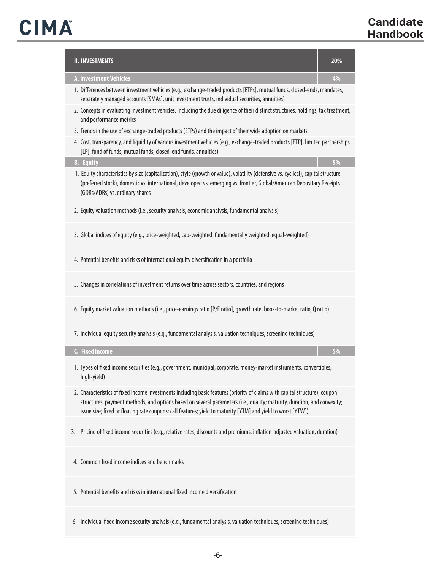| <b>II. INVESTMENTS</b>                                                                                                                                                                                                                                                                                                                                                 | 20% |
|------------------------------------------------------------------------------------------------------------------------------------------------------------------------------------------------------------------------------------------------------------------------------------------------------------------------------------------------------------------------|-----|
| <b>A. Investment Vehicles</b>                                                                                                                                                                                                                                                                                                                                          | 4%  |
| 1. Differences between investment vehicles (e.g., exchange-traded products [ETPs], mutual funds, closed-ends, mandates,<br>separately managed accounts [SMAs], unit investment trusts, individual securities, annuities)                                                                                                                                               |     |
| 2. Concepts in evaluating investment vehicles, including the due diligence of their distinct structures, holdings, tax treatment,<br>and performance metrics                                                                                                                                                                                                           |     |
| 3. Trends in the use of exchange-traded products (ETPs) and the impact of their wide adoption on markets                                                                                                                                                                                                                                                               |     |
| 4. Cost, transparency, and liquidity of various investment vehicles (e.q., exchange-traded products [ETP], limited partnerships<br>[LP], fund of funds, mutual funds, closed-end funds, annuities)                                                                                                                                                                     |     |
| <b>B.</b> Equity                                                                                                                                                                                                                                                                                                                                                       | 5%  |
| 1. Equity characteristics by size (capitalization), style (growth or value), volatility (defensive vs. cyclical), capital structure<br>(preferred stock), domestic vs. international, developed vs. emerging vs. frontier, Global/American Depositary Receipts<br>(GDRs/ADRs) vs. ordinary shares                                                                      |     |
| 2. Equity valuation methods (i.e., security analysis, economic analysis, fundamental analysis)                                                                                                                                                                                                                                                                         |     |
| 3. Global indices of equity (e.g., price-weighted, cap-weighted, fundamentally weighted, equal-weighted)                                                                                                                                                                                                                                                               |     |
| 4. Potential benefits and risks of international equity diversification in a portfolio                                                                                                                                                                                                                                                                                 |     |
| 5. Changes in correlations of investment returns over time across sectors, countries, and regions                                                                                                                                                                                                                                                                      |     |
| 6. Equity market valuation methods (i.e., price-earnings ratio [P/E ratio], growth rate, book-to-market ratio, Q ratio)                                                                                                                                                                                                                                                |     |
| 7. Individual equity security analysis (e.g., fundamental analysis, valuation techniques, screening techniques)                                                                                                                                                                                                                                                        |     |
| C. Fixed Income                                                                                                                                                                                                                                                                                                                                                        | 5%  |
| 1. Types of fixed income securities (e.g., government, municipal, corporate, money-market instruments, convertibles,<br>high-yield)                                                                                                                                                                                                                                    |     |
| 2. Characteristics of fixed income investments including basic features (priority of claims with capital structure), coupon<br>structures, payment methods, and options based on several parameters (i.e., quality; maturity, duration, and convexity;<br>issue size; fixed or floating rate coupons; call features; yield to maturity [YTM] and yield to worst [YTW]) |     |
| Pricing of fixed income securities (e.g., relative rates, discounts and premiums, inflation-adjusted valuation, duration)<br>3.                                                                                                                                                                                                                                        |     |
| 4. Common fixed income indices and benchmarks                                                                                                                                                                                                                                                                                                                          |     |
| 5. Potential benefits and risks in international fixed income diversification                                                                                                                                                                                                                                                                                          |     |
| 6. Individual fixed income security analysis (e.g., fundamental analysis, valuation techniques, screening techniques)                                                                                                                                                                                                                                                  |     |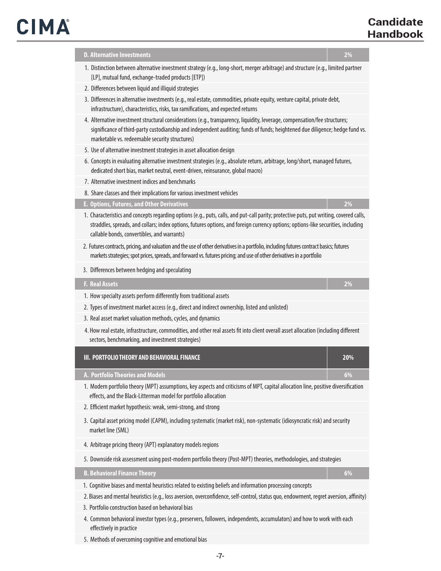# CIMA

| <b>D. Alternative Investments</b><br>2%                                                                                                                                                                                                                                                                                     |
|-----------------------------------------------------------------------------------------------------------------------------------------------------------------------------------------------------------------------------------------------------------------------------------------------------------------------------|
| 1. Distinction between alternative investment strategy (e.g., long-short, merger arbitrage) and structure (e.g., limited partner<br>[LP], mutual fund, exchange-traded products [ETP])                                                                                                                                      |
| 2. Differences between liquid and illiquid strategies                                                                                                                                                                                                                                                                       |
| 3. Differences in alternative investments (e.g., real estate, commodities, private equity, venture capital, private debt,<br>infrastructure), characteristics, risks, tax ramifications, and expected returns                                                                                                               |
| 4. Alternative investment structural considerations (e.g., transparency, liquidity, leverage, compensation/fee structures;<br>significance of third-party custodianship and independent auditing; funds of funds; heightened due diligence; hedge fund vs.<br>marketable vs. redeemable security structures)                |
| 5. Use of alternative investment strategies in asset allocation design                                                                                                                                                                                                                                                      |
| 6. Concepts in evaluating alternative investment strategies (e.g., absolute return, arbitrage, long/short, managed futures,<br>dedicated short bias, market neutral, event-driven, reinsurance, global macro)                                                                                                               |
| 7. Alternative investment indices and benchmarks                                                                                                                                                                                                                                                                            |
| 8. Share classes and their implications for various investment vehicles                                                                                                                                                                                                                                                     |
| <b>E. Options, Futures, and Other Derivatives</b><br>2%                                                                                                                                                                                                                                                                     |
| 1. Characteristics and concepts regarding options (e.g., puts, calls, and put-call parity; protective puts, put writing, covered calls,<br>straddles, spreads, and collars; index options, futures options, and foreign currency options; options-like securities, including<br>callable bonds, convertibles, and warrants) |
| 2. Futures contracts, pricing, and valuation and the use of other derivatives in a portfolio, including futures contract basics; futures<br>markets strategies; spot prices, spreads, and forward vs. futures pricing; and use of other derivatives in a portfolio                                                          |
| 3. Differences between hedging and speculating                                                                                                                                                                                                                                                                              |
| <b>F. Real Assets</b><br>2%                                                                                                                                                                                                                                                                                                 |
| 1. How specialty assets perform differently from traditional assets                                                                                                                                                                                                                                                         |
| 2. Types of investment market access (e.g., direct and indirect ownership, listed and unlisted)                                                                                                                                                                                                                             |
| 3. Real asset market valuation methods, cycles, and dynamics                                                                                                                                                                                                                                                                |
| 4. How real estate, infrastructure, commodities, and other real assets fit into client overall asset allocation (including different<br>sectors, benchmarking, and investment strategies)                                                                                                                                   |
| III. PORTFOLIO THEORY AND BEHAVIORAL FINANCE<br>20%                                                                                                                                                                                                                                                                         |
| A. Portfolio Theories and Models<br>6%                                                                                                                                                                                                                                                                                      |
| 1. Modern portfolio theory (MPT) assumptions, key aspects and criticisms of MPT, capital allocation line, positive diversification<br>effects, and the Black-Litterman model for portfolio allocation                                                                                                                       |
| 2. Efficient market hypothesis: weak, semi-strong, and strong                                                                                                                                                                                                                                                               |
| 3. Capital asset pricing model (CAPM), including systematic (market risk), non-systematic (idiosyncratic risk) and security<br>market line (SML)                                                                                                                                                                            |
| 4. Arbitrage pricing theory (APT) explanatory models regions                                                                                                                                                                                                                                                                |
| 5. Downside risk assessment using post-modern portfolio theory (Post-MPT) theories, methodologies, and strategies                                                                                                                                                                                                           |
| <b>B. Behavioral Finance Theory</b><br>6%                                                                                                                                                                                                                                                                                   |
| 1. Cognitive biases and mental heuristics related to existing beliefs and information processing concepts                                                                                                                                                                                                                   |
| 2. Biases and mental heuristics (e.g., loss aversion, overconfidence, self-control, status quo, endowment, regret aversion, affinity)<br>3. Portfolio construction based on behavioral bias                                                                                                                                 |
| 4. Common behavioral investor types (e.g., preservers, followers, independents, accumulators) and how to work with each<br>effectively in practice                                                                                                                                                                          |

5. Methods of overcoming cognitive and emotional bias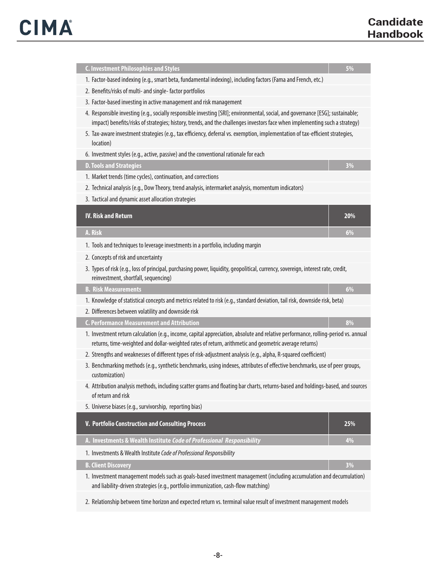| <b>C. Investment Philosophies and Styles</b>                                                                                                                                                                                                                   | 5%  |  |
|----------------------------------------------------------------------------------------------------------------------------------------------------------------------------------------------------------------------------------------------------------------|-----|--|
| 1. Factor-based indexing (e.g., smart beta, fundamental indexing), including factors (Fama and French, etc.)                                                                                                                                                   |     |  |
| 2. Benefits/risks of multi- and single-factor portfolios                                                                                                                                                                                                       |     |  |
| 3. Factor-based investing in active management and risk management                                                                                                                                                                                             |     |  |
| 4. Responsible investing (e.g., socially responsible investing [SRI]; environmental, social, and governance [ESG]; sustainable;<br>impact) benefits/risks of strategies; history, trends, and the challenges investors face when implementing such a strategy) |     |  |
| 5. Tax-aware investment strategies (e.g., tax efficiency, deferral vs. exemption, implementation of tax-efficient strategies,<br>location)                                                                                                                     |     |  |
| 6. Investment styles (e.g., active, passive) and the conventional rationale for each                                                                                                                                                                           |     |  |
| <b>D. Tools and Strategies</b>                                                                                                                                                                                                                                 | 3%  |  |
| 1. Market trends (time cycles), continuation, and corrections                                                                                                                                                                                                  |     |  |
| 2. Technical analysis (e.g., Dow Theory, trend analysis, intermarket analysis, momentum indicators)                                                                                                                                                            |     |  |
| 3. Tactical and dynamic asset allocation strategies                                                                                                                                                                                                            |     |  |
| <b>IV. Risk and Return</b>                                                                                                                                                                                                                                     |     |  |
|                                                                                                                                                                                                                                                                | 20% |  |
| A. Risk                                                                                                                                                                                                                                                        | 6%  |  |
| 1. Tools and techniques to leverage investments in a portfolio, including margin                                                                                                                                                                               |     |  |
| 2. Concepts of risk and uncertainty                                                                                                                                                                                                                            |     |  |
| 3. Types of risk (e.g., loss of principal, purchasing power, liquidity, geopolitical, currency, sovereign, interest rate, credit,<br>reinvestment, shortfall, sequencing)                                                                                      |     |  |
| <b>B. Risk Measurements</b>                                                                                                                                                                                                                                    | 6%  |  |
| 1. Knowledge of statistical concepts and metrics related to risk (e.g., standard deviation, tail risk, downside risk, beta)                                                                                                                                    |     |  |
| 2. Differences between volatility and downside risk                                                                                                                                                                                                            |     |  |
| <b>C. Performance Measurement and Attribution</b>                                                                                                                                                                                                              | 8%  |  |
| 1. Investment return calculation (e.g., income, capital appreciation, absolute and relative performance, rolling-period vs. annual<br>returns, time-weighted and dollar-weighted rates of return, arithmetic and geometric average returns)                    |     |  |
| 2. Strengths and weaknesses of different types of risk-adjustment analysis (e.g., alpha, R-squared coefficient)                                                                                                                                                |     |  |
| 3. Benchmarking methods (e.g., synthetic benchmarks, using indexes, attributes of effective benchmarks, use of peer groups,<br>customization)                                                                                                                  |     |  |
| 4. Attribution analysis methods, including scatter grams and floating bar charts, returns-based and holdings-based, and sources<br>of return and risk                                                                                                          |     |  |
| 5. Universe biases (e.g., survivorship, reporting bias)                                                                                                                                                                                                        |     |  |
| V. Portfolio Construction and Consulting Process                                                                                                                                                                                                               | 25% |  |
| A. Investments & Wealth Institute Code of Professional Responsibility                                                                                                                                                                                          | 4%  |  |
| 1. Investments & Wealth Institute Code of Professional Responsibility                                                                                                                                                                                          |     |  |
| <b>B. Client Discovery</b>                                                                                                                                                                                                                                     | 3%  |  |
| 1. Investment management models such as goals-based investment management (including accumulation and decumulation)<br>and liability-driven strategies (e.g., portfolio immunization, cash-flow matching)                                                      |     |  |
| 2. Relationship between time horizon and expected return vs. terminal value result of investment management models                                                                                                                                             |     |  |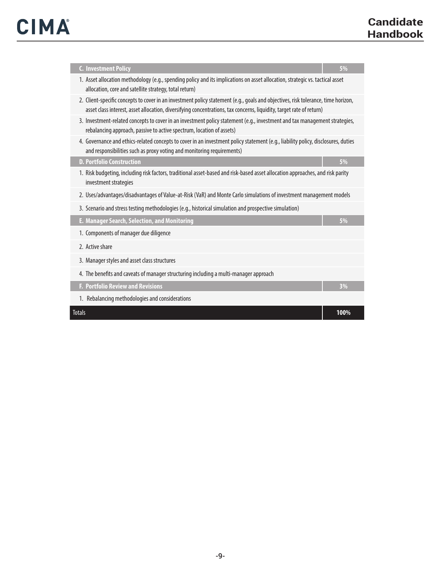| <b>C. Investment Policy</b>                                                                                                                                                                                                                               | 5%   |
|-----------------------------------------------------------------------------------------------------------------------------------------------------------------------------------------------------------------------------------------------------------|------|
| 1. Asset allocation methodology (e.g., spending policy and its implications on asset allocation, strategic vs. tactical asset<br>allocation, core and satellite strategy, total return)                                                                   |      |
| 2. Client-specific concepts to cover in an investment policy statement (e.g., goals and objectives, risk tolerance, time horizon,<br>asset class interest, asset allocation, diversifying concentrations, tax concerns, liquidity, target rate of return) |      |
| 3. Investment-related concepts to cover in an investment policy statement (e.g., investment and tax management strategies,<br>rebalancing approach, passive to active spectrum, location of assets)                                                       |      |
| 4. Governance and ethics-related concepts to cover in an investment policy statement (e.g., liability policy, disclosures, duties<br>and responsibilities such as proxy voting and monitoring requirements)                                               |      |
| <b>D. Portfolio Construction</b>                                                                                                                                                                                                                          | 5%   |
| 1. Risk budgeting, including risk factors, traditional asset-based and risk-based asset allocation approaches, and risk parity<br>investment strategies                                                                                                   |      |
| 2. Uses/advantages/disadvantages of Value-at-Risk (VaR) and Monte Carlo simulations of investment management models                                                                                                                                       |      |
| 3. Scenario and stress testing methodologies (e.g., historical simulation and prospective simulation)                                                                                                                                                     |      |
| E. Manager Search, Selection, and Monitoring                                                                                                                                                                                                              | 5%   |
| 1. Components of manager due diligence                                                                                                                                                                                                                    |      |
| 2. Active share                                                                                                                                                                                                                                           |      |
| 3. Manager styles and asset class structures                                                                                                                                                                                                              |      |
| 4. The benefits and caveats of manager structuring including a multi-manager approach                                                                                                                                                                     |      |
| F. Portfolio Review and Revisions                                                                                                                                                                                                                         | 3%   |
| 1. Rebalancing methodologies and considerations                                                                                                                                                                                                           |      |
| <b>Totals</b>                                                                                                                                                                                                                                             | 100% |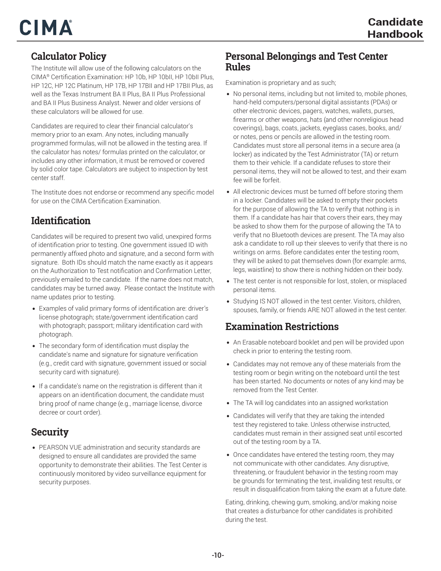#### **Calculator Policy**

The Institute will allow use of the following calculators on the CIMA® Certification Examination: HP 10b, HP 10bII, HP 10bII Plus, HP 12C, HP 12C Platinum, HP 17B, HP 17BII and HP 17BII Plus, as well as the Texas Instrument BA II Plus, BA II Plus Professional and BA II Plus Business Analyst. Newer and older versions of these calculators will be allowed for use.

Candidates are required to clear their financial calculator's memory prior to an exam. Any notes, including manually programmed formulas, will not be allowed in the testing area. If the calculator has notes/ formulas printed on the calculator, or includes any other information, it must be removed or covered by solid color tape. Calculators are subject to inspection by test center staff.

The Institute does not endorse or recommend any specific model for use on the CIMA Certification Examination.

#### **Identification**

Candidates will be required to present two valid, unexpired forms of identification prior to testing. One government issued ID with permanently affixed photo and signature, and a second form with signature. Both IDs should match the name exactly as it appears on the Authorization to Test notification and Confirmation Letter, previously emailed to the candidate. If the name does not match, candidates may be turned away. Please contact the Institute with name updates prior to testing.

- *•* Examples of valid primary forms of identification are: driver's license photograph; state/government identification card with photograph; passport; military identification card with photograph.
- *•* The secondary form of identification must display the candidate's name and signature for signature verification (e.g., credit card with signature, government issued or social security card with signature).
- *•* If a candidate's name on the registration is different than it appears on an identification document, the candidate must bring proof of name change (e.g., marriage license, divorce decree or court order).

#### **Security**

*•* PEARSON VUE administration and security standards are designed to ensure all candidates are provided the same opportunity to demonstrate their abilities. The Test Center is continuously monitored by video surveillance equipment for security purposes.

#### **Personal Belongings and Test Center Rules**

Examination is proprietary and as such;

- *•* No personal items, including but not limited to, mobile phones, hand-held computers/personal digital assistants (PDAs) or other electronic devices, pagers, watches, wallets, purses, firearms or other weapons, hats (and other nonreligious head coverings), bags, coats, jackets, eyeglass cases, books, and/ or notes, pens or pencils are allowed in the testing room. Candidates must store all personal items in a secure area (a locker) as indicated by the Test Administrator (TA) or return them to their vehicle. If a candidate refuses to store their personal items, they will not be allowed to test, and their exam fee will be forfeit.
- *•* All electronic devices must be turned off before storing them in a locker. Candidates will be asked to empty their pockets for the purpose of allowing the TA to verify that nothing is in them. If a candidate has hair that covers their ears, they may be asked to show them for the purpose of allowing the TA to verify that no Bluetooth devices are present. The TA may also ask a candidate to roll up their sleeves to verify that there is no writings on arms. Before candidates enter the testing room, they will be asked to pat themselves down (for example: arms, legs, waistline) to show there is nothing hidden on their body.
- *•* The test center is not responsible for lost, stolen, or misplaced personal items.
- *•* Studying IS NOT allowed in the test center. Visitors, children, spouses, family, or friends ARE NOT allowed in the test center.

#### **Examination Restrictions**

- *•* An Erasable noteboard booklet and pen will be provided upon check in prior to entering the testing room.
- *•* Candidates may not remove any of these materials from the testing room or begin writing on the noteboard until the test has been started. No documents or notes of any kind may be removed from the Test Center.
- *•* The TA will log candidates into an assigned workstation
- *•* Candidates will verify that they are taking the intended test they registered to take. Unless otherwise instructed, candidates must remain in their assigned seat until escorted out of the testing room by a TA.
- *•* Once candidates have entered the testing room, they may not communicate with other candidates. Any disruptive, threatening, or fraudulent behavior in the testing room may be grounds for terminating the test, invaliding test results, or result in disqualification from taking the exam at a future date.

Eating, drinking, chewing gum, smoking, and/or making noise that creates a disturbance for other candidates is prohibited during the test.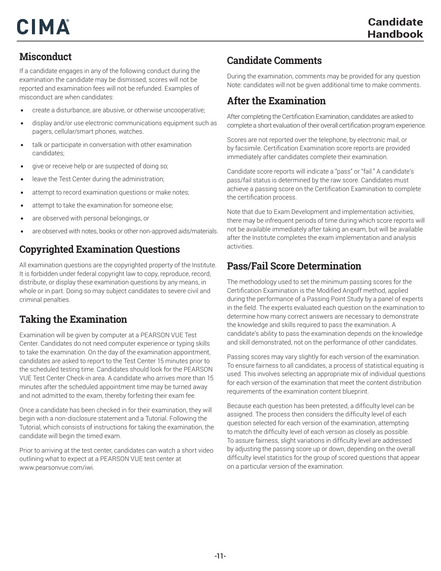#### **Misconduct**

If a candidate engages in any of the following conduct during the examination the candidate may be dismissed, scores will not be reported and examination fees will not be refunded. Examples of misconduct are when candidates:

- *•* create a disturbance, are abusive, or otherwise uncooperative;
- *•* display and/or use electronic communications equipment such as pagers, cellular/smart phones, watches.
- *•* talk or participate in conversation with other examination candidates;
- *•* give or receive help or are suspected of doing so;
- *•* leave the Test Center during the administration;
- *•* attempt to record examination questions or make notes;
- *•* attempt to take the examination for someone else;
- *•* are observed with personal belongings, or
- *•* are observed with notes, books or other non-approved aids/materials.

#### **Copyrighted Examination Questions**

All examination questions are the copyrighted property of the Institute. It is forbidden under federal copyright law to copy, reproduce, record, distribute, or display these examination questions by any means, in whole or in part. Doing so may subject candidates to severe civil and criminal penalties.

#### **Taking the Examination**

Examination will be given by computer at a PEARSON VUE Test Center. Candidates do not need computer experience or typing skills to take the examination. On the day of the examination appointment, candidates are asked to report to the Test Center 15 minutes prior to the scheduled testing time. Candidates should look for the PEARSON VUE Test Center Check-in area. A candidate who arrives more than 15 minutes after the scheduled appointment time may be turned away and not admitted to the exam, thereby forfeiting their exam fee.

Once a candidate has been checked in for their examination, they will begin with a non-disclosure statement and a Tutorial. Following the Tutorial, which consists of instructions for taking the examination, the candidate will begin the timed exam.

Prior to arriving at the test center, candidates can watch a short video outlining what to expect at a PEARSON VUE test center at www.pearsonvue.com/iwi.

#### **Candidate Comments**

During the examination, comments may be provided for any question Note: candidates will not be given additional time to make comments.

#### **After the Examination**

After completing the Certification Examination, candidates are asked to complete a short evaluation of their overall certification program experience.

Scores are not reported over the telephone, by electronic mail, or by facsimile. Certification Examination score reports are provided immediately after candidates complete their examination.

Candidate score reports will indicate a "pass" or "fail." A candidate's pass/fail status is determined by the raw score. Candidates must achieve a passing score on the Certification Examination to complete the certification process.

Note that due to Exam Development and implementation activities, there may be infrequent periods of time during which score reports will not be available immediately after taking an exam, but will be available after the Institute completes the exam implementation and analysis activities.

#### **Pass/Fail Score Determination**

The methodology used to set the minimum passing scores for the Certification Examination is the Modified Angoff method, applied during the performance of a Passing Point Study by a panel of experts in the field. The experts evaluated each question on the examination to determine how many correct answers are necessary to demonstrate the knowledge and skills required to pass the examination. A candidate's ability to pass the examination depends on the knowledge and skill demonstrated, not on the performance of other candidates.

Passing scores may vary slightly for each version of the examination. To ensure fairness to all candidates, a process of statistical equating is used. This involves selecting an appropriate mix of individual questions for each version of the examination that meet the content distribution requirements of the examination content blueprint.

Because each question has been pretested, a difficulty level can be assigned. The process then considers the difficulty level of each question selected for each version of the examination, attempting to match the difficulty level of each version as closely as possible. To assure fairness, slight variations in difficulty level are addressed by adjusting the passing score up or down, depending on the overall difficulty level statistics for the group of scored questions that appear on a particular version of the examination.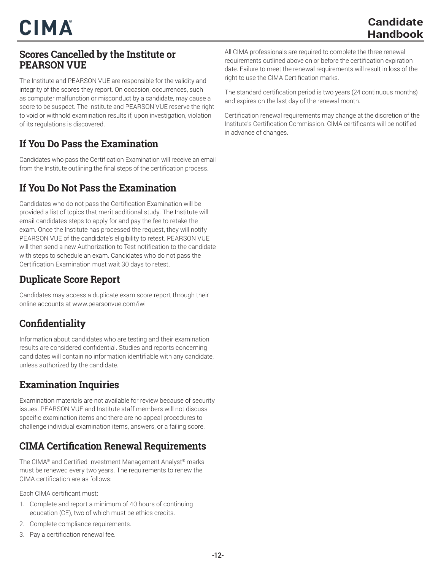#### **Scores Cancelled by the Institute or PEARSON VUE**

The Institute and PEARSON VUE are responsible for the validity and integrity of the scores they report. On occasion, occurrences, such as computer malfunction or misconduct by a candidate, may cause a score to be suspect. The Institute and PEARSON VUE reserve the right to void or withhold examination results if, upon investigation, violation of its regulations is discovered.

#### **If You Do Pass the Examination**

Candidates who pass the Certification Examination will receive an email from the Institute outlining the final steps of the certification process.

#### **If You Do Not Pass the Examination**

Candidates who do not pass the Certification Examination will be provided a list of topics that merit additional study. The Institute will email candidates steps to apply for and pay the fee to retake the exam. Once the Institute has processed the request, they will notify PEARSON VUE of the candidate's eligibility to retest. PEARSON VUE will then send a new Authorization to Test notification to the candidate with steps to schedule an exam. Candidates who do not pass the Certification Examination must wait 30 days to retest.

#### **Duplicate Score Report**

Candidates may access a duplicate exam score report through their online accounts at www.pearsonvue.com/iwi

#### **Confidentiality**

Information about candidates who are testing and their examination results are considered confidential. Studies and reports concerning candidates will contain no information identifiable with any candidate, unless authorized by the candidate.

#### **Examination Inquiries**

Examination materials are not available for review because of security issues. PEARSON VUE and Institute staff members will not discuss specific examination items and there are no appeal procedures to challenge individual examination items, answers, or a failing score.

#### **CIMA Certification Renewal Requirements**

The CIMA® and Certified Investment Management Analyst® marks must be renewed every two years. The requirements to renew the CIMA certification are as follows:

Each CIMA certificant must:

- 1. Complete and report a minimum of 40 hours of continuing education (CE), two of which must be ethics credits.
- 2. Complete compliance requirements.
- 3. Pay a certification renewal fee.

All CIMA professionals are required to complete the three renewal requirements outlined above on or before the certification expiration date. Failure to meet the renewal requirements will result in loss of the right to use the CIMA Certification marks.

The standard certification period is two years (24 continuous months) and expires on the last day of the renewal month.

Certification renewal requirements may change at the discretion of the Institute's Certification Commission. CIMA certificants will be notified in advance of changes.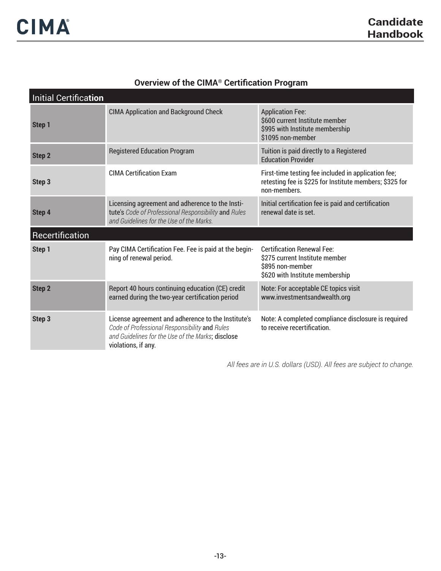## **Overview of the CIMA® Certification Program**

| <b>Initial Certification</b> |                                                                                                                                                                                 |                                                                                                                                |  |
|------------------------------|---------------------------------------------------------------------------------------------------------------------------------------------------------------------------------|--------------------------------------------------------------------------------------------------------------------------------|--|
| Step 1                       | <b>CIMA Application and Background Check</b>                                                                                                                                    | <b>Application Fee:</b><br>\$600 current Institute member<br>\$995 with Institute membership<br>\$1095 non-member              |  |
| Step 2                       | <b>Registered Education Program</b>                                                                                                                                             | Tuition is paid directly to a Registered<br><b>Education Provider</b>                                                          |  |
| Step 3                       | <b>CIMA Certification Exam</b>                                                                                                                                                  | First-time testing fee included in application fee;<br>retesting fee is \$225 for Institute members; \$325 for<br>non-members. |  |
| Step 4                       | Licensing agreement and adherence to the Insti-<br>tute's Code of Professional Responsibility and Rules<br>and Guidelines for the Use of the Marks.                             | Initial certification fee is paid and certification<br>renewal date is set.                                                    |  |
| Recertification              |                                                                                                                                                                                 |                                                                                                                                |  |
| Step 1                       | Pay CIMA Certification Fee. Fee is paid at the begin-<br>ning of renewal period.                                                                                                | <b>Certification Renewal Fee:</b><br>\$275 current Institute member<br>\$895 non-member<br>\$620 with Institute membership     |  |
| <b>Step 2</b>                | Report 40 hours continuing education (CE) credit<br>earned during the two-year certification period                                                                             | Note: For acceptable CE topics visit<br>www.investmentsandwealth.org                                                           |  |
| Step 3                       | License agreement and adherence to the Institute's<br>Code of Professional Responsibility and Rules<br>and Guidelines for the Use of the Marks; disclose<br>violations, if any. | Note: A completed compliance disclosure is required<br>to receive recertification.                                             |  |

*All fees are in U.S. dollars (USD). All fees are subject to change.*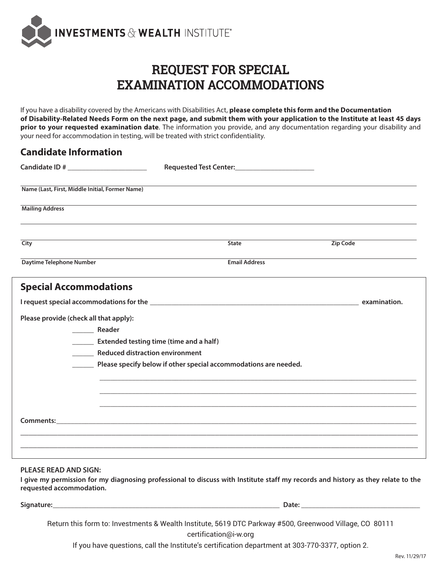

## **REQUEST FOR SPECIAL EXAMINATION ACCOMMODATIONS**

If you have a disability covered by the Americans with Disabilities Act, **please complete this form and the Documentation of Disability-Related Needs Form on the next page, and submit them with your application to the Institute at least 45 days prior to your requested examination date**. The information you provide, and any documentation regarding your disability and your need for accommodation in testing, will be treated with strict confidentiality.

| Candidate Information<br>Candidate ID # ______________________ |                                                                  |          |
|----------------------------------------------------------------|------------------------------------------------------------------|----------|
| Name (Last, First, Middle Initial, Former Name)                |                                                                  |          |
| <b>Mailing Address</b>                                         |                                                                  |          |
| City                                                           | <b>State</b>                                                     | Zip Code |
| Daytime Telephone Number                                       | <b>Email Address</b>                                             |          |
| <b>Special Accommodations</b>                                  |                                                                  |          |
|                                                                |                                                                  |          |
| Please provide (check all that apply):                         |                                                                  |          |
| Reader                                                         |                                                                  |          |
| <b>Extended testing time (time and a half)</b>                 |                                                                  |          |
| Reduced distraction environment                                |                                                                  |          |
|                                                                | Please specify below if other special accommodations are needed. |          |
|                                                                |                                                                  |          |
|                                                                |                                                                  |          |
|                                                                |                                                                  |          |
|                                                                |                                                                  |          |
|                                                                |                                                                  |          |
|                                                                |                                                                  |          |

#### **PLEASE READ AND SIGN:**

**Candidate Information**

**I give my permission for my diagnosing professional to discuss with Institute staff my records and history as they relate to the requested accommodation.**

#### **Signature: Community Community Community Community Community Community Community Community Community Community Community Community Community Community Community Community Community Community Community Community Communit**

Return this form to: Investments & Wealth Institute, 5619 DTC Parkway #500, Greenwood Village, CO 80111

certification@i-w.org

If you have questions, call the Institute's certification department at 303-770-3377, option 2.